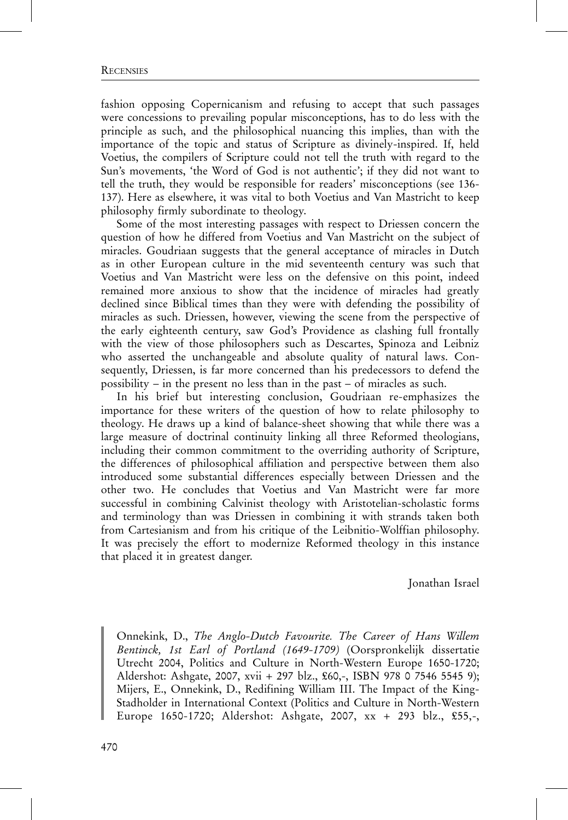## **RECENSIES**

fashion opposing Copernicanism and refusing to accept that such passages were concessions to prevailing popular misconceptions, has to do less with the principle as such, and the philosophical nuancing this implies, than with the importance of the topic and status of Scripture as divinely-inspired. If, held Voetius, the compilers of Scripture could not tell the truth with regard to the Sun's movements, 'the Word of God is not authentic'; if they did not want to tell the truth, they would be responsible for readers' misconceptions (see 136- 137). Here as elsewhere, it was vital to both Voetius and Van Mastricht to keep philosophy firmly subordinate to theology.

Some of the most interesting passages with respect to Driessen concern the question of how he differed from Voetius and Van Mastricht on the subject of miracles. Goudriaan suggests that the general acceptance of miracles in Dutch as in other European culture in the mid seventeenth century was such that Voetius and Van Mastricht were less on the defensive on this point, indeed remained more anxious to show that the incidence of miracles had greatly declined since Biblical times than they were with defending the possibility of miracles as such. Driessen, however, viewing the scene from the perspective of the early eighteenth century, saw God's Providence as clashing full frontally with the view of those philosophers such as Descartes, Spinoza and Leibniz who asserted the unchangeable and absolute quality of natural laws. Consequently, Driessen, is far more concerned than his predecessors to defend the possibility – in the present no less than in the past – of miracles as such.

In his brief but interesting conclusion, Goudriaan re-emphasizes the importance for these writers of the question of how to relate philosophy to theology. He draws up a kind of balance-sheet showing that while there was a large measure of doctrinal continuity linking all three Reformed theologians, including their common commitment to the overriding authority of Scripture, the differences of philosophical affiliation and perspective between them also introduced some substantial differences especially between Driessen and the other two. He concludes that Voetius and Van Mastricht were far more successful in combining Calvinist theology with Aristotelian-scholastic forms and terminology than was Driessen in combining it with strands taken both from Cartesianism and from his critique of the Leibnitio-Wolffian philosophy. It was precisely the effort to modernize Reformed theology in this instance that placed it in greatest danger.

Jonathan Israel

Onnekink, D., The Anglo-Dutch Favourite. The Career of Hans Willem Bentinck, 1st Earl of Portland (1649-1709) (Oorspronkelijk dissertatie Utrecht 2004, Politics and Culture in North-Western Europe 1650-1720; Aldershot: Ashgate, 2007, xvii + 297 blz., £60,-, ISBN 978 0 7546 5545 9); Mijers, E., Onnekink, D., Redifining William III. The Impact of the King-Stadholder in International Context (Politics and Culture in North-Western Europe 1650-1720; Aldershot: Ashgate, 2007, xx + 293 blz., £55,-,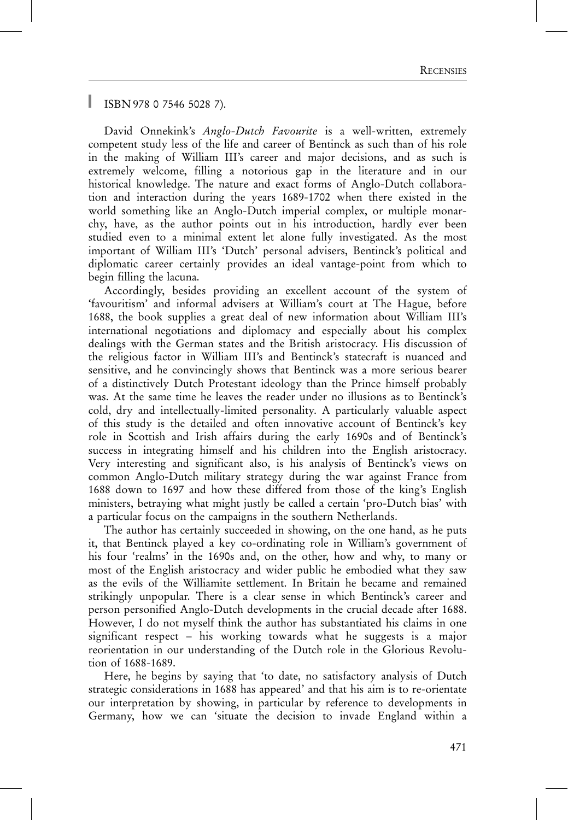ISBN 978 0 7546 5028 7).

David Onnekink's Anglo-Dutch Favourite is a well-written, extremely competent study less of the life and career of Bentinck as such than of his role in the making of William III's career and major decisions, and as such is extremely welcome, filling a notorious gap in the literature and in our historical knowledge. The nature and exact forms of Anglo-Dutch collaboration and interaction during the years 1689-1702 when there existed in the world something like an Anglo-Dutch imperial complex, or multiple monarchy, have, as the author points out in his introduction, hardly ever been studied even to a minimal extent let alone fully investigated. As the most important of William III's 'Dutch' personal advisers, Bentinck's political and diplomatic career certainly provides an ideal vantage-point from which to begin filling the lacuna.

Accordingly, besides providing an excellent account of the system of 'favouritism' and informal advisers at William's court at The Hague, before 1688, the book supplies a great deal of new information about William III's international negotiations and diplomacy and especially about his complex dealings with the German states and the British aristocracy. His discussion of the religious factor in William III's and Bentinck's statecraft is nuanced and sensitive, and he convincingly shows that Bentinck was a more serious bearer of a distinctively Dutch Protestant ideology than the Prince himself probably was. At the same time he leaves the reader under no illusions as to Bentinck's cold, dry and intellectually-limited personality. A particularly valuable aspect of this study is the detailed and often innovative account of Bentinck's key role in Scottish and Irish affairs during the early 1690s and of Bentinck's success in integrating himself and his children into the English aristocracy. Very interesting and significant also, is his analysis of Bentinck's views on common Anglo-Dutch military strategy during the war against France from 1688 down to 1697 and how these differed from those of the king's English ministers, betraying what might justly be called a certain 'pro-Dutch bias' with a particular focus on the campaigns in the southern Netherlands.

The author has certainly succeeded in showing, on the one hand, as he puts it, that Bentinck played a key co-ordinating role in William's government of his four 'realms' in the 1690s and, on the other, how and why, to many or most of the English aristocracy and wider public he embodied what they saw as the evils of the Williamite settlement. In Britain he became and remained strikingly unpopular. There is a clear sense in which Bentinck's career and person personified Anglo-Dutch developments in the crucial decade after 1688. However, I do not myself think the author has substantiated his claims in one significant respect – his working towards what he suggests is a major reorientation in our understanding of the Dutch role in the Glorious Revolution of 1688-1689.

Here, he begins by saying that 'to date, no satisfactory analysis of Dutch strategic considerations in 1688 has appeared' and that his aim is to re-orientate our interpretation by showing, in particular by reference to developments in Germany, how we can 'situate the decision to invade England within a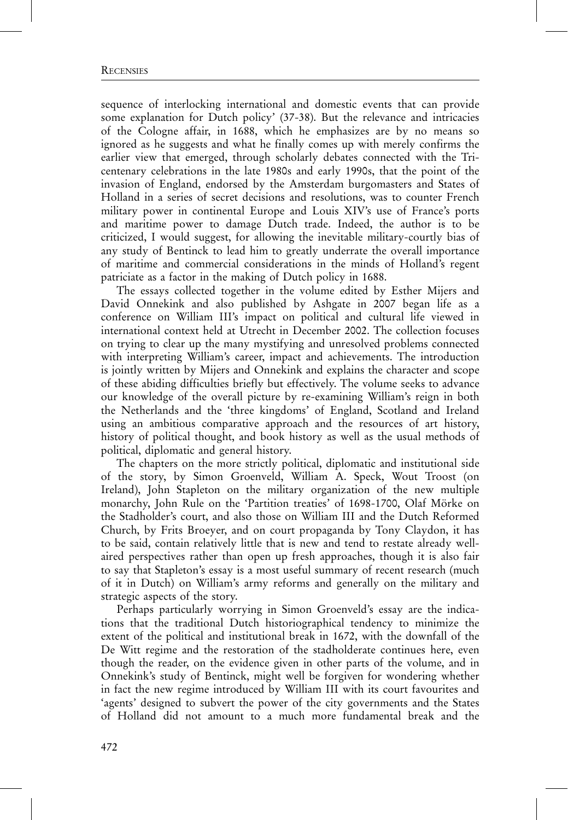sequence of interlocking international and domestic events that can provide some explanation for Dutch policy' (37-38). But the relevance and intricacies of the Cologne affair, in 1688, which he emphasizes are by no means so ignored as he suggests and what he finally comes up with merely confirms the earlier view that emerged, through scholarly debates connected with the Tricentenary celebrations in the late 1980s and early 1990s, that the point of the invasion of England, endorsed by the Amsterdam burgomasters and States of Holland in a series of secret decisions and resolutions, was to counter French military power in continental Europe and Louis XIV's use of France's ports and maritime power to damage Dutch trade. Indeed, the author is to be criticized, I would suggest, for allowing the inevitable military-courtly bias of any study of Bentinck to lead him to greatly underrate the overall importance of maritime and commercial considerations in the minds of Holland's regent patriciate as a factor in the making of Dutch policy in 1688.

The essays collected together in the volume edited by Esther Mijers and David Onnekink and also published by Ashgate in 2007 began life as a conference on William III's impact on political and cultural life viewed in international context held at Utrecht in December 2002. The collection focuses on trying to clear up the many mystifying and unresolved problems connected with interpreting William's career, impact and achievements. The introduction is jointly written by Mijers and Onnekink and explains the character and scope of these abiding difficulties briefly but effectively. The volume seeks to advance our knowledge of the overall picture by re-examining William's reign in both the Netherlands and the 'three kingdoms' of England, Scotland and Ireland using an ambitious comparative approach and the resources of art history, history of political thought, and book history as well as the usual methods of political, diplomatic and general history.

The chapters on the more strictly political, diplomatic and institutional side of the story, by Simon Groenveld, William A. Speck, Wout Troost (on Ireland), John Stapleton on the military organization of the new multiple monarchy, John Rule on the 'Partition treaties' of 1698-1700, Olaf Mörke on the Stadholder's court, and also those on William III and the Dutch Reformed Church, by Frits Broeyer, and on court propaganda by Tony Claydon, it has to be said, contain relatively little that is new and tend to restate already wellaired perspectives rather than open up fresh approaches, though it is also fair to say that Stapleton's essay is a most useful summary of recent research (much of it in Dutch) on William's army reforms and generally on the military and strategic aspects of the story.

Perhaps particularly worrying in Simon Groenveld's essay are the indications that the traditional Dutch historiographical tendency to minimize the extent of the political and institutional break in 1672, with the downfall of the De Witt regime and the restoration of the stadholderate continues here, even though the reader, on the evidence given in other parts of the volume, and in Onnekink's study of Bentinck, might well be forgiven for wondering whether in fact the new regime introduced by William III with its court favourites and 'agents' designed to subvert the power of the city governments and the States of Holland did not amount to a much more fundamental break and the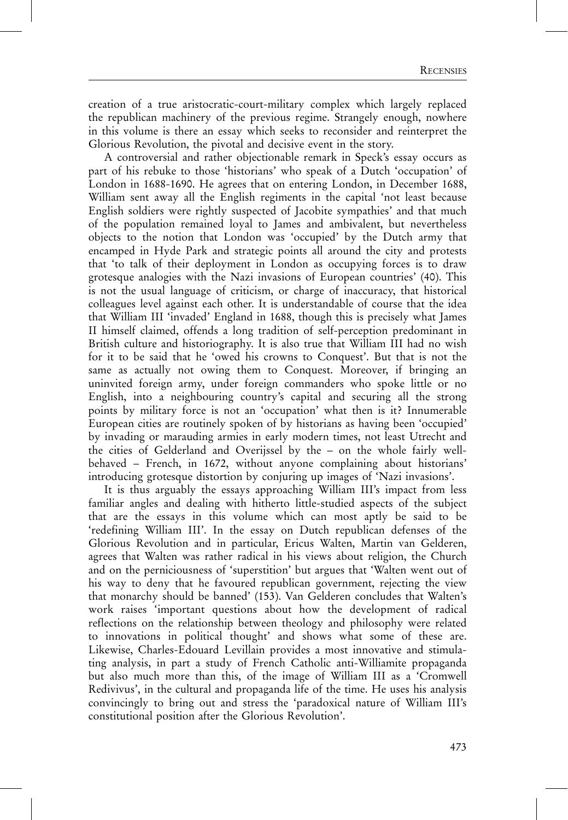creation of a true aristocratic-court-military complex which largely replaced the republican machinery of the previous regime. Strangely enough, nowhere in this volume is there an essay which seeks to reconsider and reinterpret the Glorious Revolution, the pivotal and decisive event in the story.

A controversial and rather objectionable remark in Speck's essay occurs as part of his rebuke to those 'historians' who speak of a Dutch 'occupation' of London in 1688-1690. He agrees that on entering London, in December 1688, William sent away all the English regiments in the capital 'not least because English soldiers were rightly suspected of Jacobite sympathies' and that much of the population remained loyal to James and ambivalent, but nevertheless objects to the notion that London was 'occupied' by the Dutch army that encamped in Hyde Park and strategic points all around the city and protests that 'to talk of their deployment in London as occupying forces is to draw grotesque analogies with the Nazi invasions of European countries' (40). This is not the usual language of criticism, or charge of inaccuracy, that historical colleagues level against each other. It is understandable of course that the idea that William III 'invaded' England in 1688, though this is precisely what James II himself claimed, offends a long tradition of self-perception predominant in British culture and historiography. It is also true that William III had no wish for it to be said that he 'owed his crowns to Conquest'. But that is not the same as actually not owing them to Conquest. Moreover, if bringing an uninvited foreign army, under foreign commanders who spoke little or no English, into a neighbouring country's capital and securing all the strong points by military force is not an 'occupation' what then is it? Innumerable European cities are routinely spoken of by historians as having been 'occupied' by invading or marauding armies in early modern times, not least Utrecht and the cities of Gelderland and Overijssel by the – on the whole fairly wellbehaved – French, in 1672, without anyone complaining about historians' introducing grotesque distortion by conjuring up images of 'Nazi invasions'.

It is thus arguably the essays approaching William III's impact from less familiar angles and dealing with hitherto little-studied aspects of the subject that are the essays in this volume which can most aptly be said to be 'redefining William III'. In the essay on Dutch republican defenses of the Glorious Revolution and in particular, Ericus Walten, Martin van Gelderen, agrees that Walten was rather radical in his views about religion, the Church and on the perniciousness of 'superstition' but argues that 'Walten went out of his way to deny that he favoured republican government, rejecting the view that monarchy should be banned' (153). Van Gelderen concludes that Walten's work raises 'important questions about how the development of radical reflections on the relationship between theology and philosophy were related to innovations in political thought' and shows what some of these are. Likewise, Charles-Edouard Levillain provides a most innovative and stimulating analysis, in part a study of French Catholic anti-Williamite propaganda but also much more than this, of the image of William III as a 'Cromwell Redivivus', in the cultural and propaganda life of the time. He uses his analysis convincingly to bring out and stress the 'paradoxical nature of William III's constitutional position after the Glorious Revolution'.